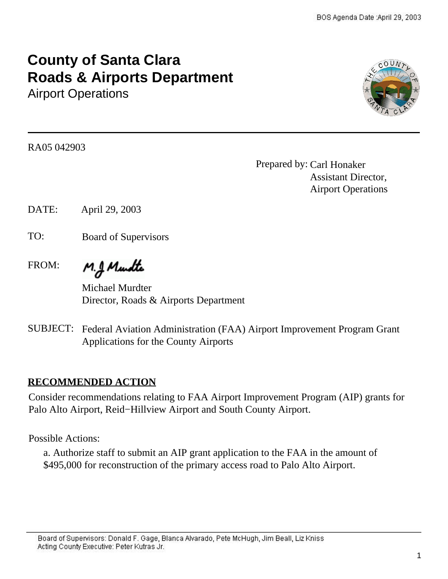# **County of Santa Clara Roads & Airports Department**

Airport Operations



RA05 042903

Prepared by: Carl Honaker Assistant Director, Airport Operations

DATE: April 29, 2003

TO: Board of Supervisors

FROM:

M.J. Mundte

Michael Murdter Director, Roads & Airports Department

SUBJECT: Federal Aviation Administration (FAA) Airport Improvement Program Grant Applications for the County Airports

# **RECOMMENDED ACTION**

Consider recommendations relating to FAA Airport Improvement Program (AIP) grants for Palo Alto Airport, Reid−Hillview Airport and South County Airport.

Possible Actions:

a. Authorize staff to submit an AIP grant application to the FAA in the amount of \$495,000 for reconstruction of the primary access road to Palo Alto Airport.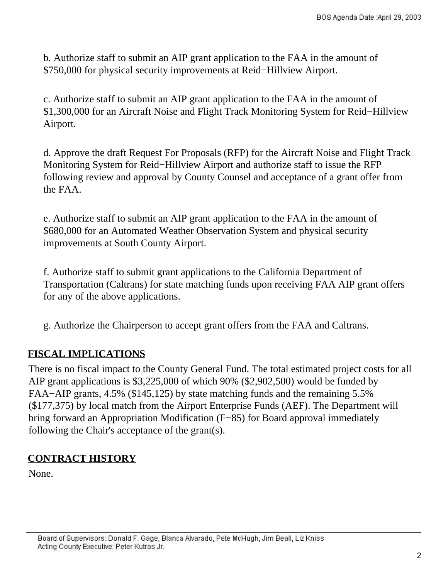b. Authorize staff to submit an AIP grant application to the FAA in the amount of \$750,000 for physical security improvements at Reid−Hillview Airport.

c. Authorize staff to submit an AIP grant application to the FAA in the amount of \$1,300,000 for an Aircraft Noise and Flight Track Monitoring System for Reid−Hillview Airport.

d. Approve the draft Request For Proposals (RFP) for the Aircraft Noise and Flight Track Monitoring System for Reid−Hillview Airport and authorize staff to issue the RFP following review and approval by County Counsel and acceptance of a grant offer from the FAA.

e. Authorize staff to submit an AIP grant application to the FAA in the amount of \$680,000 for an Automated Weather Observation System and physical security improvements at South County Airport.

f. Authorize staff to submit grant applications to the California Department of Transportation (Caltrans) for state matching funds upon receiving FAA AIP grant offers for any of the above applications.

. g. Authorize the Chairperson to accept grant offers from the FAA and Caltrans.

# **FISCAL IMPLICATIONS**

There is no fiscal impact to the County General Fund. The total estimated project costs for all AIP grant applications is \$3,225,000 of which 90% (\$2,902,500) would be funded by FAA−AIP grants, 4.5% (\$145,125) by state matching funds and the remaining 5.5% (\$177,375) by local match from the Airport Enterprise Funds (AEF). The Department will bring forward an Appropriation Modification (F−85) for Board approval immediately following the Chair's acceptance of the grant(s).

# **CONTRACT HISTORY**

None.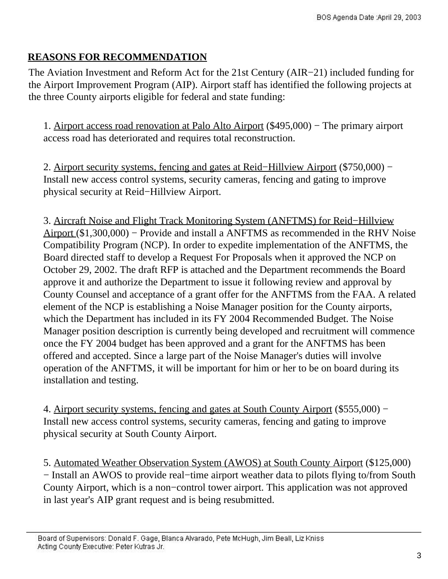# **REASONS FOR RECOMMENDATION**

The Aviation Investment and Reform Act for the 21st Century (AIR−21) included funding for the Airport Improvement Program (AIP). Airport staff has identified the following projects at the three County airports eligible for federal and state funding:

1. Airport access road renovation at Palo Alto Airport (\$495,000) − The primary airport access road has deteriorated and requires total reconstruction.

2. Airport security systems, fencing and gates at Reid–Hillyiew Airport (\$750,000) − Install new access control systems, security cameras, fencing and gating to improve physical security at Reid−Hillview Airport.

3. Aircraft Noise and Flight Track Monitoring System (ANFTMS) for Reid−Hillview Airport (\$1,300,000) − Provide and install a ANFTMS as recommended in the RHV Noise Compatibility Program (NCP). In order to expedite implementation of the ANFTMS, the Board directed staff to develop a Request For Proposals when it approved the NCP on October 29, 2002. The draft RFP is attached and the Department recommends the Board approve it and authorize the Department to issue it following review and approval by County Counsel and acceptance of a grant offer for the ANFTMS from the FAA. A related element of the NCP is establishing a Noise Manager position for the County airports, which the Department has included in its FY 2004 Recommended Budget. The Noise Manager position description is currently being developed and recruitment will commence once the FY 2004 budget has been approved and a grant for the ANFTMS has been offered and accepted. Since a large part of the Noise Manager's duties will involve operation of the ANFTMS, it will be important for him or her to be on board during its installation and testing.

4. Airport security systems, fencing and gates at South County Airport (\$555,000) − Install new access control systems, security cameras, fencing and gating to improve physical security at South County Airport.

5. Automated Weather Observation System (AWOS) at South County Airport (\$125,000) − Install an AWOS to provide real−time airport weather data to pilots flying to/from South County Airport, which is a non−control tower airport. This application was not approved in last year's AIP grant request and is being resubmitted.

Board of Supervisors: Donald F. Gage, Blanca Alvarado, Pete McHugh, Jim Beall, Liz Kniss Acting County Executive: Peter Kutras Jr.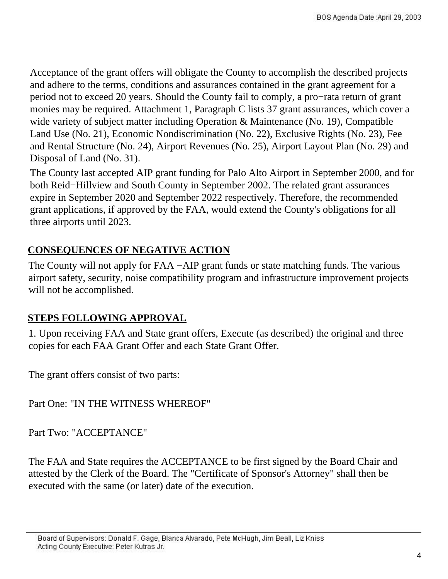.<br>. Acceptance of the grant offers will obligate the County to accomplish the described projects and adhere to the terms, conditions and assurances contained in the grant agreement for a period not to exceed 20 years. Should the County fail to comply, a pro−rata return of grant monies may be required. Attachment 1, Paragraph C lists 37 grant assurances, which cover a wide variety of subject matter including Operation & Maintenance (No. 19), Compatible Land Use (No. 21), Economic Nondiscrimination (No. 22), Exclusive Rights (No. 23), Fee and Rental Structure (No. 24), Airport Revenues (No. 25), Airport Layout Plan (No. 29) and Disposal of Land (No. 31).

. expire in September 2020 and September 2022 respectively. Therefore, the recommended The County last accepted AIP grant funding for Palo Alto Airport in September 2000, and for both Reid−Hillview and South County in September 2002. The related grant assurances grant applications, if approved by the FAA, would extend the County's obligations for all three airports until 2023.

# **CONSEQUENCES OF NEGATIVE ACTION**

The County will not apply for FAA −AIP grant funds or state matching funds. The various airport safety, security, noise compatibility program and infrastructure improvement projects will not be accomplished.

# **STEPS FOLLOWING APPROVAL**

1. Upon receiving FAA and State grant offers, Execute (as described) the original and three copies for each FAA Grant Offer and each State Grant Offer.

The grant offers consist of two parts:

Part One: "IN THE WITNESS WHEREOF"

Part Two: "ACCEPTANCE"

The FAA and State requires the ACCEPTANCE to be first signed by the Board Chair and attested by the Clerk of the Board. The "Certificate of Sponsor's Attorney" shall then be executed with the same (or later) date of the execution.